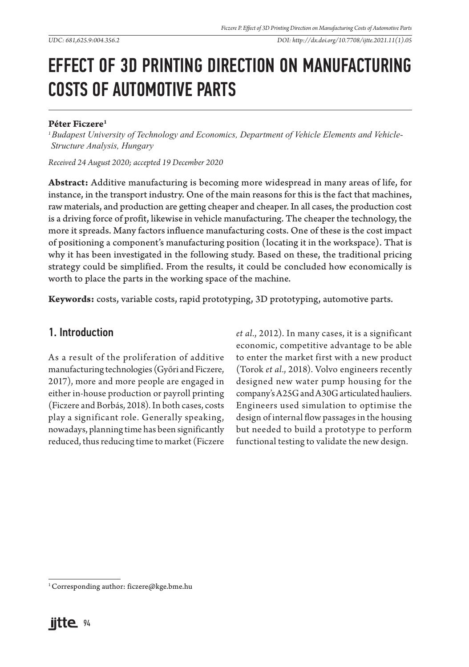*UDC: 681,625.9:004.356.2 DOI: http://dx.doi.org/10.7708/ijtte.2021.11(1).05*

# EFFECT OF 3D PRINTING DIRECTION ON MANUFACTURING COSTS OF AUTOMOTIVE PARTS

#### **Péter Ficzere1**

*1 Budapest University of Technology and Economics, Department of Vehicle Elements and Vehicle-Structure Analysis, Hungary*

*Received 24 August 2020; accepted 19 December 2020*

**Abstract:** Additive manufacturing is becoming more widespread in many areas of life, for instance, in the transport industry. One of the main reasons for this is the fact that machines, raw materials, and production are getting cheaper and cheaper. In all cases, the production cost is a driving force of profit, likewise in vehicle manufacturing. The cheaper the technology, the more it spreads. Many factors influence manufacturing costs. One of these is the cost impact of positioning a component's manufacturing position (locating it in the workspace). That is why it has been investigated in the following study. Based on these, the traditional pricing strategy could be simplified. From the results, it could be concluded how economically is worth to place the parts in the working space of the machine.

**Keywords:** costs, variable costs, rapid prototyping, 3D prototyping, automotive parts.

### 1. Introduction

As a result of the proliferation of additive manufacturing technologies (Győri and Ficzere, 2017), more and more people are engaged in either in-house production or payroll printing (Ficzere and Borbás, 2018). In both cases, costs play a significant role. Generally speaking, nowadays, planning time has been significantly reduced, thus reducing time to market (Ficzere *et al.*, 2012). In many cases, it is a significant economic, competitive advantage to be able to enter the market first with a new product (Torok *et al.*, 2018). Volvo engineers recently designed new water pump housing for the company's A25G and A30G articulated hauliers. Engineers used simulation to optimise the design of internal flow passages in the housing but needed to build a prototype to perform functional testing to validate the new design.

<sup>&</sup>lt;sup>1</sup> Corresponding author: ficzere@kge.bme.hu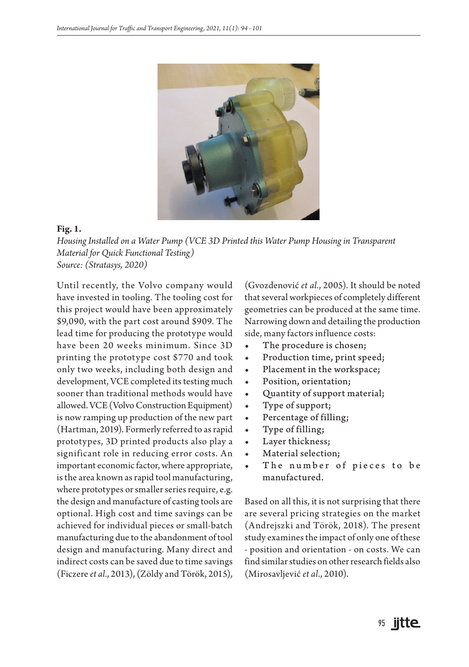

#### **Fig. 1.**

*Housing Installed on a Water Pump (VCE 3D Printed this Water Pump Housing in Transparent Material for Quick Functional Testing) Source: (Stratasys, 2020)*

Until recently, the Volvo company would have invested in tooling. The tooling cost for this project would have been approximately \$9,090, with the part cost around \$909. The lead time for producing the prototype would have been 20 weeks minimum. Since 3D printing the prototype cost \$770 and took only two weeks, including both design and development, VCE completed its testing much sooner than traditional methods would have allowed. VCE (Volvo Construction Equipment) is now ramping up production of the new part (Hartman, 2019). Formerly referred to as rapid prototypes, 3D printed products also play a significant role in reducing error costs. An important economic factor, where appropriate, is the area known as rapid tool manufacturing, where prototypes or smaller series require, e.g. the design and manufacture of casting tools are optional. High cost and time savings can be achieved for individual pieces or small-batch manufacturing due to the abandonment of tool design and manufacturing. Many direct and indirect costs can be saved due to time savings (Ficzere *et al.*, 2013), (Zöldy and Török, 2015),

(Gvozdenović *et al.*, 2005). It should be noted that several workpieces of completely different geometries can be produced at the same time. Narrowing down and detailing the production side, many factors influence costs:

- The procedure is chosen;
- Production time, print speed;
- Placement in the workspace;
- Position, orientation;
- Quantity of support material;
- Type of support;
- Percentage of filling;
- Type of filling;
- Layer thickness;
- Material selection;
- The number of pieces to be manufactured.

Based on all this, it is not surprising that there are several pricing strategies on the market (Andrejszki and Török, 2018). The present study examines the impact of only one of these - position and orientation - on costs. We can find similar studies on other research fields also (Mirosavljević *et al*., 2010).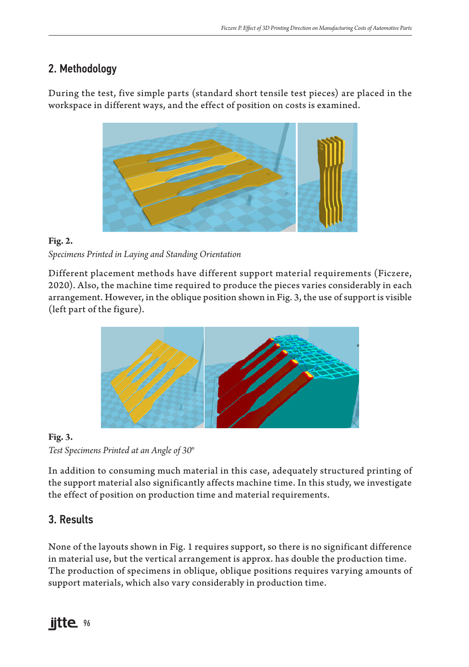## 2. Methodology

During the test, five simple parts (standard short tensile test pieces) are placed in the workspace in different ways, and the effect of position on costs is examined.



### **Fig. 2.** *Specimens Printed in Laying and Standing Orientation*

Different placement methods have different support material requirements (Ficzere, 2020). Also, the machine time required to produce the pieces varies considerably in each arrangement. However, in the oblique position shown in Fig. 3, the use of support is visible (left part of the figure).



### **Fig. 3.** *Test Specimens Printed at an Angle of 30°*

In addition to consuming much material in this case, adequately structured printing of the support material also significantly affects machine time. In this study, we investigate the effect of position on production time and material requirements.

# 3. Results

None of the layouts shown in Fig. 1 requires support, so there is no significant difference in material use, but the vertical arrangement is approx. has double the production time. The production of specimens in oblique, oblique positions requires varying amounts of support materials, which also vary considerably in production time.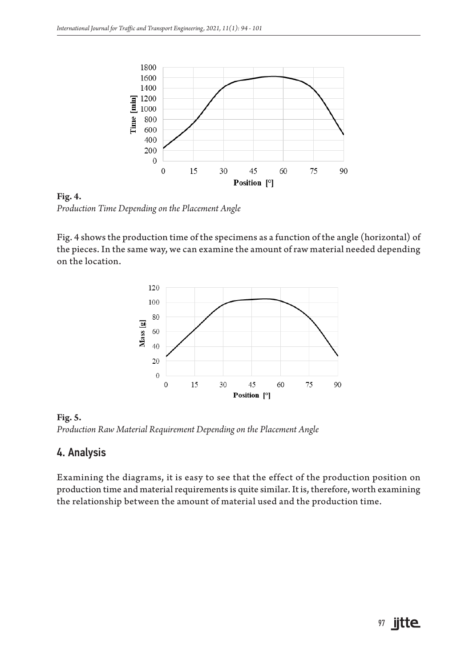

**Fig. 4.** *Production Time Depending on the Placement Angle*

Fig. 4 shows the production time of the specimens as a function of the angle (horizontal) of the pieces. In the same way, we can examine the amount of raw material needed depending on the location.



**Fig. 5.** *Production Raw Material Requirement Depending on the Placement Angle*

### 4. Analysis

Examining the diagrams, it is easy to see that the effect of the production position on production time and material requirements is quite similar. It is, therefore, worth examining the relationship between the amount of material used and the production time.

# 97 **jitte**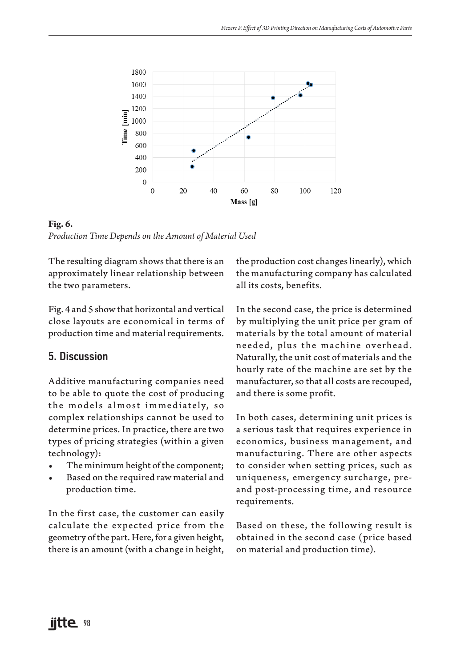

**Fig. 6.** *Production Time Depends on the Amount of Material Used*

The resulting diagram shows that there is an approximately linear relationship between the two parameters.

Fig. 4 and 5 show that horizontal and vertical close layouts are economical in terms of production time and material requirements.

### 5. Discussion

Additive manufacturing companies need to be able to quote the cost of producing the models almost immediately, so complex relationships cannot be used to determine prices. In practice, there are two types of pricing strategies (within a given technology):

- The minimum height of the component;
- Based on the required raw material and production time.

In the first case, the customer can easily calculate the expected price from the geometry of the part. Here, for a given height, there is an amount (with a change in height, the production cost changes linearly), which the manufacturing company has calculated all its costs, benefits.

In the second case, the price is determined by multiplying the unit price per gram of materials by the total amount of material needed, plus the machine overhead. Naturally, the unit cost of materials and the hourly rate of the machine are set by the manufacturer, so that all costs are recouped, and there is some profit.

In both cases, determining unit prices is a serious task that requires experience in economics, business management, and manufacturing. There are other aspects to consider when setting prices, such as uniqueness, emergency surcharge, preand post-processing time, and resource requirements.

Based on these, the following result is obtained in the second case (price based on material and production time).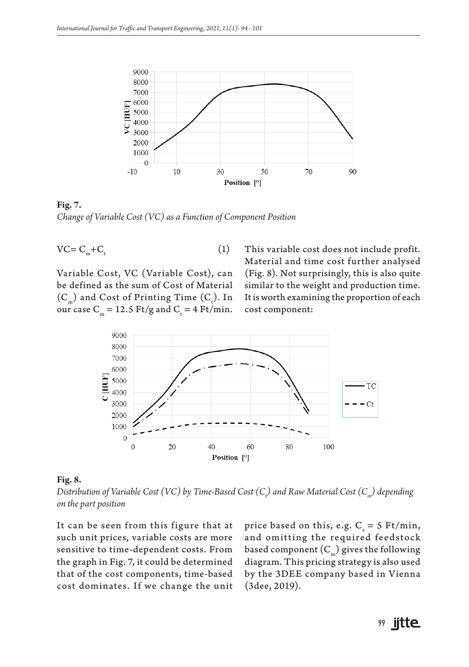

**Fig. 7.** *Change of Variable Cost (VC) as a Function of Component Position* 

$$
VC = C_m + C_t \tag{1}
$$

Variable Cost, VC (Variable Cost), can be defined as the sum of Cost of Material  $(C_m)$  and Cost of Printing Time  $(C_t)$ . In our case  $C_m = 12.5 \text{ Ft/g}$  and  $C_t = 4 \text{ Ft/min}$ . This variable cost does not include profit. Material and time cost further analysed (Fig. 8). Not surprisingly, this is also quite similar to the weight and production time. It is worth examining the proportion of each cost component:



#### **Fig. 8.**

*Distribution of Variable Cost (VC) by Time-Based Cost (Ct ) and Raw Material Cost (Cm) depending on the part position*

It can be seen from this figure that at such unit prices, variable costs are more sensitive to time-dependent costs. From the graph in Fig. 7, it could be determined that of the cost components, time-based cost dominates. If we change the unit

price based on this, e.g.  $C_t = 5 \text{ Ft/min}$ , and omitting the required feedstock based component  $(C_m)$  gives the following diagram. This pricing strategy is also used by the 3DEE company based in Vienna (3dee, 2019).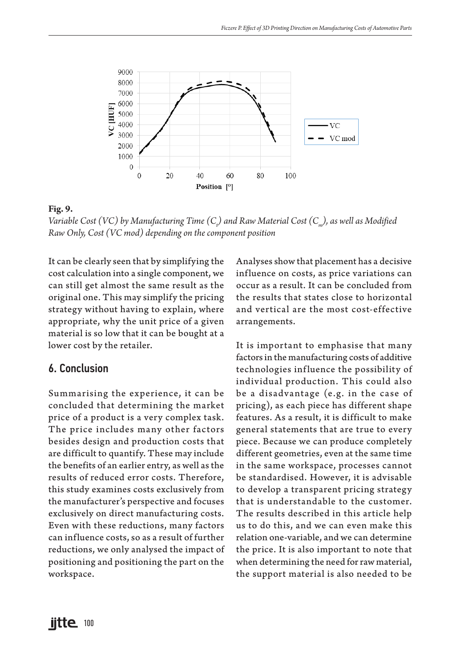

**Fig. 9.**

Variable Cost (VC) by Manufacturing Time (C<sub>t</sub>) and Raw Material Cost (C<sub>m</sub>), as well as Modified *Raw Only, Cost (VC mod) depending on the component position* 

It can be clearly seen that by simplifying the cost calculation into a single component, we can still get almost the same result as the original one. This may simplify the pricing strategy without having to explain, where appropriate, why the unit price of a given material is so low that it can be bought at a lower cost by the retailer.

### 6. Conclusion

Summarising the experience, it can be concluded that determining the market price of a product is a very complex task. The price includes many other factors besides design and production costs that are difficult to quantify. These may include the benefits of an earlier entry, as well as the results of reduced error costs. Therefore, this study examines costs exclusively from the manufacturer's perspective and focuses exclusively on direct manufacturing costs. Even with these reductions, many factors can influence costs, so as a result of further reductions, we only analysed the impact of positioning and positioning the part on the workspace.

Analyses show that placement has a decisive influence on costs, as price variations can occur as a result. It can be concluded from the results that states close to horizontal and vertical are the most cost-effective arrangements.

It is important to emphasise that many factors in the manufacturing costs of additive technologies influence the possibility of individual production. This could also be a disadvantage (e.g. in the case of pricing), as each piece has different shape features. As a result, it is difficult to make general statements that are true to every piece. Because we can produce completely different geometries, even at the same time in the same workspace, processes cannot be standardised. However, it is advisable to develop a transparent pricing strategy that is understandable to the customer. The results described in this article help us to do this, and we can even make this relation one-variable, and we can determine the price. It is also important to note that when determining the need for raw material, the support material is also needed to be